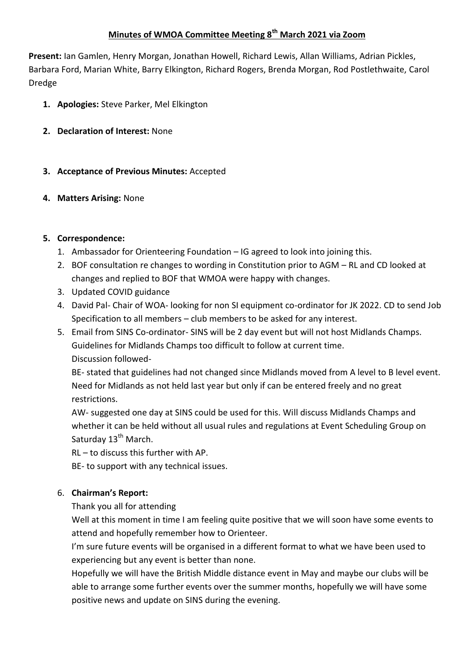# **Minutes of WMOA Committee Meeting 8th March 2021 via Zoom**

**Present:** Ian Gamlen, Henry Morgan, Jonathan Howell, Richard Lewis, Allan Williams, Adrian Pickles, Barbara Ford, Marian White, Barry Elkington, Richard Rogers, Brenda Morgan, Rod Postlethwaite, Carol Dredge

- **1. Apologies:** Steve Parker, Mel Elkington
- **2. Declaration of Interest:** None
- **3. Acceptance of Previous Minutes:** Accepted
- **4. Matters Arising:** None

## **5. Correspondence:**

- 1. Ambassador for Orienteering Foundation IG agreed to look into joining this.
- 2. BOF consultation re changes to wording in Constitution prior to AGM RL and CD looked at changes and replied to BOF that WMOA were happy with changes.
- 3. Updated COVID guidance
- 4. David Pal- Chair of WOA- looking for non SI equipment co-ordinator for JK 2022. CD to send Job Specification to all members – club members to be asked for any interest.
- 5. Email from SINS Co-ordinator- SINS will be 2 day event but will not host Midlands Champs. Guidelines for Midlands Champs too difficult to follow at current time. Discussion followed-

BE- stated that guidelines had not changed since Midlands moved from A level to B level event. Need for Midlands as not held last year but only if can be entered freely and no great restrictions.

AW- suggested one day at SINS could be used for this. Will discuss Midlands Champs and whether it can be held without all usual rules and regulations at Event Scheduling Group on Saturday 13<sup>th</sup> March.

RL – to discuss this further with AP.

BE- to support with any technical issues.

# 6. **Chairman's Report:**

Thank you all for attending

Well at this moment in time I am feeling quite positive that we will soon have some events to attend and hopefully remember how to Orienteer.

I'm sure future events will be organised in a different format to what we have been used to experiencing but any event is better than none.

Hopefully we will have the British Middle distance event in May and maybe our clubs will be able to arrange some further events over the summer months, hopefully we will have some positive news and update on SINS during the evening.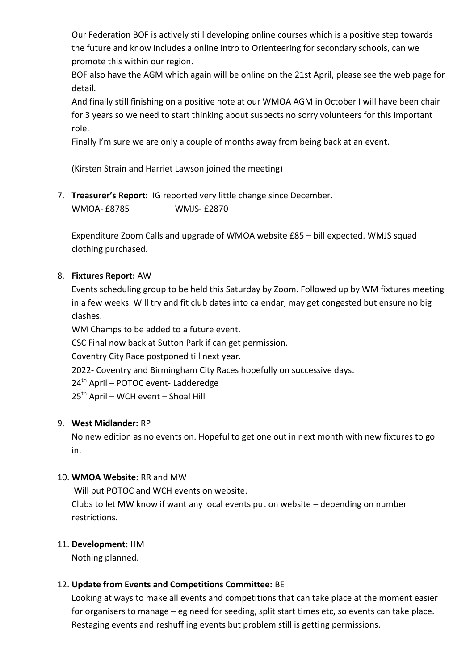Our Federation BOF is actively still developing online courses which is a positive step towards the future and know includes a online intro to Orienteering for secondary schools, can we promote this within our region.

BOF also have the AGM which again will be online on the 21st April, please see the web page for detail.

And finally still finishing on a positive note at our WMOA AGM in October I will have been chair for 3 years so we need to start thinking about suspects no sorry volunteers for this important role.

Finally I'm sure we are only a couple of months away from being back at an event.

(Kirsten Strain and Harriet Lawson joined the meeting)

7. **Treasurer's Report:** IG reported very little change since December. WMOA- £8785 WMJS- £2870

Expenditure Zoom Calls and upgrade of WMOA website £85 – bill expected. WMJS squad clothing purchased.

## 8. **Fixtures Report:** AW

Events scheduling group to be held this Saturday by Zoom. Followed up by WM fixtures meeting in a few weeks. Will try and fit club dates into calendar, may get congested but ensure no big clashes.

WM Champs to be added to a future event. CSC Final now back at Sutton Park if can get permission. Coventry City Race postponed till next year. 2022- Coventry and Birmingham City Races hopefully on successive days. 24<sup>th</sup> April – POTOC event- Ladderedge  $25<sup>th</sup>$  April – WCH event – Shoal Hill

## 9. **West Midlander:** RP

No new edition as no events on. Hopeful to get one out in next month with new fixtures to go in.

## 10. **WMOA Website:** RR and MW

Will put POTOC and WCH events on website.

Clubs to let MW know if want any local events put on website – depending on number restrictions.

## 11. **Development:** HM

Nothing planned.

## 12. **Update from Events and Competitions Committee:** BE

Looking at ways to make all events and competitions that can take place at the moment easier for organisers to manage – eg need for seeding, split start times etc, so events can take place. Restaging events and reshuffling events but problem still is getting permissions.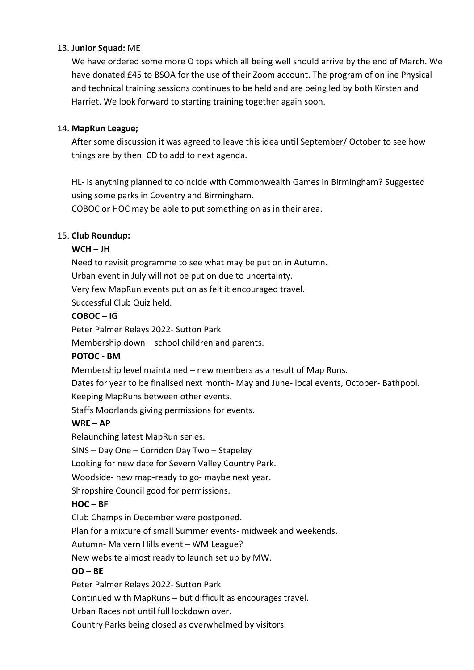## 13. **Junior Squad:** ME

We have ordered some more O tops which all being well should arrive by the end of March. We have donated £45 to BSOA for the use of their Zoom account. The program of online Physical and technical training sessions continues to be held and are being led by both Kirsten and Harriet. We look forward to starting training together again soon.

## 14. **MapRun League;**

After some discussion it was agreed to leave this idea until September/ October to see how things are by then. CD to add to next agenda.

HL- is anything planned to coincide with Commonwealth Games in Birmingham? Suggested using some parks in Coventry and Birmingham.

COBOC or HOC may be able to put something on as in their area.

## 15. **Club Roundup:**

# **WCH – JH**

Need to revisit programme to see what may be put on in Autumn.

Urban event in July will not be put on due to uncertainty.

Very few MapRun events put on as felt it encouraged travel.

Successful Club Quiz held.

## **COBOC – IG**

Peter Palmer Relays 2022- Sutton Park

Membership down – school children and parents.

## **POTOC - BM**

Membership level maintained – new members as a result of Map Runs.

Dates for year to be finalised next month- May and June- local events, October- Bathpool. Keeping MapRuns between other events.

Staffs Moorlands giving permissions for events.

# **WRE – AP**

Relaunching latest MapRun series.

SINS – Day One – Corndon Day Two – Stapeley

Looking for new date for Severn Valley Country Park.

Woodside- new map-ready to go- maybe next year.

Shropshire Council good for permissions.

# **HOC – BF**

Club Champs in December were postponed.

Plan for a mixture of small Summer events- midweek and weekends.

Autumn- Malvern Hills event – WM League?

New website almost ready to launch set up by MW.

# **OD – BE**

Peter Palmer Relays 2022- Sutton Park

Continued with MapRuns – but difficult as encourages travel.

Urban Races not until full lockdown over.

Country Parks being closed as overwhelmed by visitors.